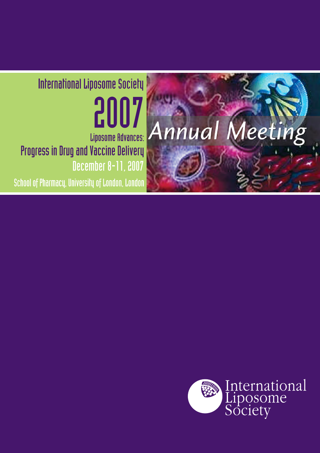## International Liposome Society 2007 Annual Liposome Advances: Progress in Drug and Vaccine Delivery **December 8-11, 2007**

School of Pharmacy, University of London, London



Meeting